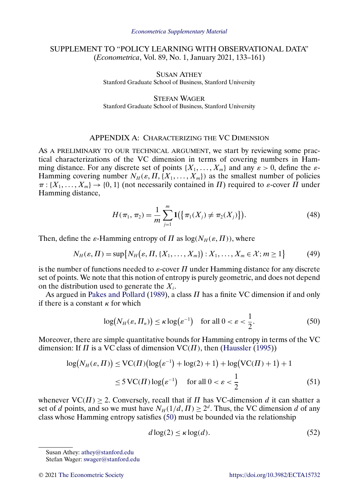# <span id="page-0-0"></span>SUPPLEMENT TO "POLICY LEARNING WITH OBSERVATIONAL DATA" (*Econometrica*, Vol. 89, No. 1, January 2021, 133–161)

SUSAN ATHEY Stanford Graduate School of Business, Stanford University

STEFAN WAGER Stanford Graduate School of Business, Stanford University

# APPENDIX A: CHARACTERIZING THE VC DIMENSION

AS A PRELIMINARY TO OUR TECHNICAL ARGUMENT, we start by reviewing some practical characterizations of the VC dimension in terms of covering numbers in Hamming distance. For any discrete set of points  $\{X_1, \ldots, X_m\}$  and any  $\varepsilon > 0$ , define the  $\varepsilon$ -Hamming covering number  $N_H(\varepsilon, \Pi, \{X_1, \ldots, X_m\})$  as the smallest number of policies  $\pi : \{X_1, \ldots, X_m\} \to \{0, 1\}$  (not necessarily contained in  $\Pi$ ) required to  $\varepsilon$ -cover  $\Pi$  under Hamming distance,

$$
H(\pi_1, \pi_2) = \frac{1}{m} \sum_{j=1}^{m} \mathbf{1}(\{\pi_1(X_j) \neq \pi_2(X_j)\}).
$$
 (48)

Then, define the  $\varepsilon$ -Hamming entropy of  $\Pi$  as  $\log(N_H(\varepsilon,\Pi))$ , where

$$
N_H(\varepsilon, \Pi) = \sup \{ N_H(\varepsilon, \Pi, \{X_1, \dots, X_m\}) : X_1, \dots, X_m \in \mathcal{X}; m \ge 1 \}
$$
(49)

is the number of functions needed to  $\varepsilon$ -cover  $\Pi$  under Hamming distance for any discrete set of points. We note that this notion of entropy is purely geometric, and does not depend on the distribution used to generate the  $X_i$ .

As argued in [Pakes and Pollard](#page-17-0) [\(1989\)](#page-17-0), a class  $\Pi$  has a finite VC dimension if and only if there is a constant  $\kappa$  for which

$$
\log(N_H(\varepsilon, \Pi_n)) \le \kappa \log(\varepsilon^{-1}) \quad \text{for all } 0 < \varepsilon < \frac{1}{2}.\tag{50}
$$

Moreover, there are simple quantitative bounds for Hamming entropy in terms of the VC dimension: If  $\Pi$  is a VC class of dimension  $VC(\Pi)$ , then [\(Haussler](#page-17-0) [\(1995\)](#page-17-0))

$$
\log(N_H(\varepsilon, \Pi)) \le \text{VC}(\Pi) \left(\log(\varepsilon^{-1}) + \log(2) + 1\right) + \log(\text{VC}(\Pi) + 1) + 1
$$
  

$$
\le 5 \text{VC}(\Pi) \log(\varepsilon^{-1}) \quad \text{for all } 0 < \varepsilon < \frac{1}{2}
$$
 (51)

whenever  $VC(\Pi) > 2$ . Conversely, recall that if  $\Pi$  has VC-dimension d it can shatter a set of d points, and so we must have  $N_H(1/d, \Pi) \ge 2^d$ . Thus, the VC dimension d of any class whose Hamming entropy satisfies (50) must be bounded via the relationship

$$
d\log(2) \le \kappa \log(d). \tag{52}
$$

Susan Athey: [athey@stanford.edu](mailto:athey@stanford.edu)

Stefan Wager: [swager@stanford.edu](mailto:swager@stanford.edu)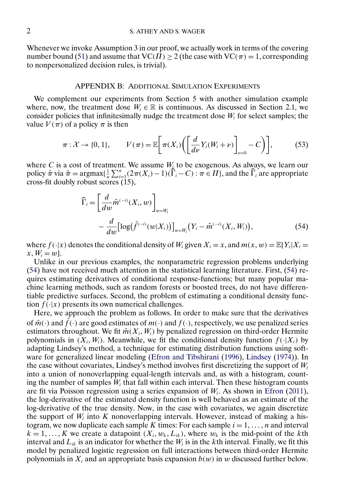<span id="page-1-0"></span>Whenever we invoke Assumption 3 in our proof, we actually work in terms of the covering number bound [\(51\)](#page-0-0) and assume that  $VC(\Pi) \ge 2$  (the case with  $VC(\pi) = 1$ , corresponding to nonpersonalized decision rules, is trivial).

#### APPENDIX B: ADDITIONAL SIMULATION EXPERIMENTS

We complement our experiments from Section 5 with another simulation example where, now, the treatment dose  $W_i \in \mathbb{R}$  is continuous. As discussed in Section 2.1, we consider policies that infinitesimally nudge the treatment dose  $W_i$  for select samples; the value  $V(\pi)$  of a policy  $\pi$  is then

$$
\pi: \mathcal{X} \to \{0, 1\}, \qquad V(\pi) = \mathbb{E}\bigg[\pi(X_i) \bigg(\bigg[\frac{d}{d\nu}Y_i(W_i + \nu)\bigg]_{\nu=0} - C\bigg)\bigg],\tag{53}
$$

where C is a cost of treatment. We assume  $W_k$  to be exogenous. As always, we learn our policy  $\hat{\pi}$  via  $\hat{\pi} = \text{argmax}\{\frac{1}{n}\sum_{i=1}^{n}(2\pi(X_i)-1)(\hat{\Gamma}_i-C) : \pi \in \Pi\}$ , and the  $\hat{\Gamma}_i$  are appropriate cross-fit doubly robust scores (15),

$$
\widehat{\Gamma}_{i} = \left[\frac{d}{dw}\widehat{m}^{(-i)}(X_{i}, w)\right]_{w = W_{i}} \n- \frac{d}{dw} \left[\log(\widehat{f}^{(-i)}(w|X_{i}))\right]_{w = W_{i}} (Y_{i} - \widehat{m}^{(-i)}(X_{i}, W_{i})),
$$
\n(54)

where  $f(\cdot|x)$  denotes the conditional density of  $W_i$  given  $X_i = x$ , and  $m(x, w) = \mathbb{E}[Y_i|X_i =$  $x, W_i = w$ .

Unlike in our previous examples, the nonparametric regression problems underlying (54) have not received much attention in the statistical learning literature. First, (54) requires estimating derivatives of conditional response-functions; but many popular machine learning methods, such as random forests or boosted trees, do not have differentiable predictive surfaces. Second, the problem of estimating a conditional density function  $f(\cdot|x)$  presents its own numerical challenges.

Here, we approach the problem as follows. In order to make sure that the derivatives of  $\hat{m}(\cdot)$  and  $\hat{f}(\cdot)$  are good estimates of  $m(\cdot)$  and  $f(\cdot)$ , respectively, we use penalized series estimators throughout. We fit  $\hat{m}(X_i, W_i)$  by penalized regression on third-order Hermite polynomials in  $(X_i, W_i)$ . Meanwhile, we fit the conditional density function  $f(\cdot | X_i)$  by adapting Lindsey's method, a technique for estimating distribution functions using software for generalized linear modeling [\(Efron and Tibshirani](#page-17-0) [\(1996\)](#page-17-0), [Lindsey](#page-17-0) [\(1974\)](#page-17-0)). In the case without covariates, Lindsey's method involves first discretizing the support of  $W_i$ into a union of nonoverlapping equal-length intervals and, as with a histogram, counting the number of samples  $W_i$  that fall within each interval. Then these histogram counts are fit via Poisson regression using a series expansion of  $W_i$ . As shown in [Efron](#page-17-0) [\(2011\)](#page-17-0), the log-derivative of the estimated density function is well behaved as an estimate of the log-derivative of the true density. Now, in the case with covariates, we again discretize the support of  $W_i$  into K nonoverlapping intervals. However, instead of making a histogram, we now duplicate each sample K times: For each sample  $i = 1, \ldots, n$  and interval  $k = 1, \dots, K$  we create a datapoint  $(X_i, w_k, L_{ik})$ , where  $w_k$  is the mid-point of the kth interval and  $L_{ik}$  is an indicator for whether the  $W_i$  is in the kth interval. Finally, we fit this model by penalized logistic regression on full interactions between third-order Hermite polynomials in  $X_i$  and an appropriate basis expansion  $b(w)$  in w discussed further below.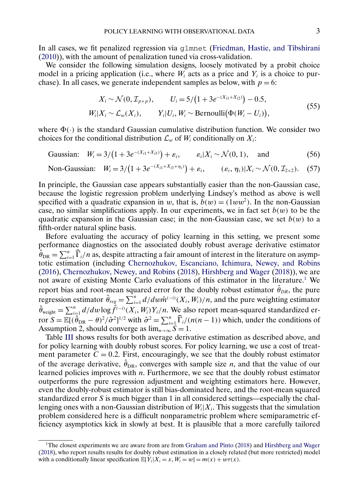<span id="page-2-0"></span>In all cases, we fit penalized regression via glmnet [\(Friedman, Hastie, and Tibshirani](#page-17-0) [\(2010\)](#page-17-0)), with the amount of penalization tuned via cross-validation.

We consider the following simulation designs, loosely motivated by a probit choice model in a pricing application (i.e., where  $W_i$  acts as a price and  $Y_i$  is a choice to purchase). In all cases, we generate independent samples as below, with  $p = 6$ :

$$
X_i \sim \mathcal{N}(0, \mathcal{I}_{p \times p}), \qquad U_i = 5/(1 + 3e^{-(X_{i1} + X_{i2})}) - 0.5,
$$
  
\n
$$
W_i | X_i \sim \mathcal{L}_w(X_i), \qquad Y_i | U_i, W_i \sim \text{Bernoulli}(\Phi(W_i - U_i)),
$$
\n(55)

where  $\Phi(\cdot)$  is the standard Gaussian cumulative distribution function. We consider two choices for the conditional distribution  $\mathcal{L}_w$  of  $W_i$  conditionally on  $X_i$ :

Gaussian: 
$$
W_i = 3/(1 + 3e^{-(X_{i1} + X_{i3})}) + \varepsilon_i
$$
,  $\varepsilon_i | X_i \sim \mathcal{N}(0, 1)$ , and (56)

Non-Gaussian: 
$$
W_i = 3/(1 + 3e^{-(X_{i1} + X_{i3} + \eta_i)}) + \varepsilon_i
$$
,  $(\varepsilon_i, \eta_i)|X_i \sim \mathcal{N}(0, \mathcal{I}_{2 \times 2})$ . (57)

In principle, the Gaussian case appears substantially easier than the non-Gaussian case, because the logistic regression problem underlying Lindsey's method as above is well specified with a quadratic expansion in w, that is,  $b(w) = (1ww^2)$ . In the non-Gaussian case, no similar simplifications apply. In our experiments, we in fact set  $b(w)$  to be the quadratic expansion in the Gaussian case; in the non-Gaussian case, we set  $b(w)$  to a fifth-order natural spline basis.

Before evaluating the accuracy of policy learning in this setting, we present some performance diagnostics on the associated doubly robust average derivative estimator  $\hat{\theta}_{DR} = \sum_{i=1}^{n} \hat{\Gamma}_i/n$  as, despite attracting a fair amount of interest in the literature on asymptotic estimation (including [Chernozhukov, Escanciano, Ichimura, Newey, and Robins](#page-17-0) [\(2016\)](#page-17-0), [Chernozhukov, Newey, and Robins](#page-17-0) [\(2018\)](#page-17-0), [Hirshberg and Wager](#page-17-0) [\(2018\)](#page-17-0)), we are not aware of existing Monte Carlo evaluations of this estimator in the literature.1 We report bias and root-mean squared error for the doubly robust estimator  $\hat{\theta}_{DR}$ , the pure regression estimator  $\hat{\theta}_{reg} = \sum_{i=1}^{n} d/dw \hat{m}^{(-i)}(X_i, W_i)/n$ , and the pure weighting estimator  $\hat{\theta}_{\text{weight}} = \sum_{i=1}^{n} d/dw \log \hat{f}^{(-i)}(X_i, W_i) Y_i/n$ . We also report mean-squared standardized error  $S = \mathbb{E}[(\hat{\theta}_{DR} - \theta)^2/\hat{\sigma}^2]^{1/2}$  with  $\hat{\sigma}^2 = \sum_{i=1}^n \hat{\Gamma}_i/(n(n-1))$  which, under the conditions of Assumption 2, should converge as  $\lim_{n\to\infty} S = 1$ .

Table [III](#page-3-0) shows results for both average derivative estimation as described above, and for policy learning with doubly robust scores. For policy learning, we use a cost of treatment parameter  $C = 0.2$ . First, encouragingly, we see that the doubly robust estimator of the average derivative,  $\hat{\theta}_{DR}$ , converges with sample size *n*, and that the value of our learned policies improves with  $n$ . Furthermore, we see that the doubly robust estimator outperforms the pure regression adjustment and weighting estimators here. However, even the doubly-robust estimator is still bias-dominated here, and the root-mean squared standardized error S is much bigger than 1 in all considered settings—especially the challenging ones with a non-Gaussian distribution of  $W_i|X_i$ . This suggests that the simulation problem considered here is a difficult nonparametric problem where semiparametric efficiency asymptotics kick in slowly at best. It is plausible that a more carefully tailored

<sup>1</sup>The closest experiments we are aware from are from [Graham and Pinto](#page-17-0) [\(2018\)](#page-17-0) and [Hirshberg and Wager](#page-17-0) [\(2018\)](#page-17-0), who report results results for doubly robust estimation in a closely related (but more restricted) model with a conditionally linear specification  $\mathbb{E}[Y_i|X_i = x, W_i = w] = m(x) + w\tau(x)$ .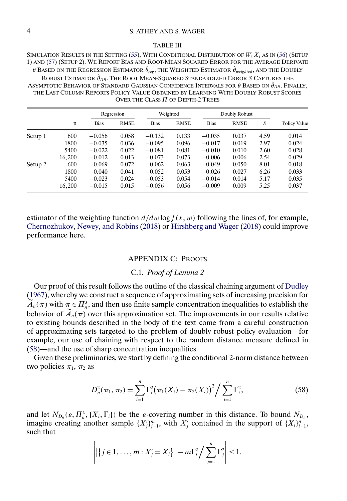#### <span id="page-3-0"></span>4 S. ATHEY AND S. WAGER

#### TABLE III

SIMULATION RESULTS IN THE SETTING [\(55\)](#page-2-0), WITH CONDITIONAL DISTRIBUTION OF  $W_i|X_i$  as in [\(56\)](#page-2-0) (Setup 1) AND [\(57\)](#page-2-0) (SETUP 2). WE REPORT BIAS AND ROOT-MEAN SQUARED ERROR FOR THE AVERAGE DERIVATE θ BASED ON THE REGRESSION ESTIMATOR  $\hat{\theta}_{reg}$ , the Weighted Estimator  $\hat{\theta}_{weighted}$ , and the Doubly ROBUST ESTIMATOR  $\hat{\theta}_{DR}$ . The ROOT Mean-Squared Standardized Error S Captures the ASYMPTOTIC BEHAVIOR OF STANDARD GAUSSIAN CONFIDENCE INTERVALS FOR  $\theta$  BASED ON  $\hat{\theta}_{DR}$ . FINALLY, THE LAST COLUMN REPORTS POLICY VALUE OBTAINED BY LEARNING WITH DOUBLY ROBUST SCORES OVER THE CLASS  $\Pi$  of Depth-2 Trees

|         |        | Regression  |             | Weighted    |             | Doubly Robust |             |      |              |
|---------|--------|-------------|-------------|-------------|-------------|---------------|-------------|------|--------------|
|         | n      | <b>Bias</b> | <b>RMSE</b> | <b>Bias</b> | <b>RMSE</b> | <b>Bias</b>   | <b>RMSE</b> | S    | Policy Value |
| Setup 1 | 600    | $-0.056$    | 0.058       | $-0.132$    | 0.133       | $-0.035$      | 0.037       | 4.59 | 0.014        |
|         | 1800   | $-0.035$    | 0.036       | $-0.095$    | 0.096       | $-0.017$      | 0.019       | 2.97 | 0.024        |
|         | 5400   | $-0.022$    | 0.022       | $-0.081$    | 0.081       | $-0.010$      | 0.010       | 2.60 | 0.028        |
|         | 16,200 | $-0.012$    | 0.013       | $-0.073$    | 0.073       | $-0.006$      | 0.006       | 2.54 | 0.029        |
| Setup 2 | 600    | $-0.069$    | 0.072       | $-0.062$    | 0.063       | $-0.049$      | 0.050       | 8.01 | 0.018        |
|         | 1800   | $-0.040$    | 0.041       | $-0.052$    | 0.053       | $-0.026$      | 0.027       | 6.26 | 0.033        |
|         | 5400   | $-0.023$    | 0.024       | $-0.053$    | 0.054       | $-0.014$      | 0.014       | 5.17 | 0.035        |
|         | 16,200 | $-0.015$    | 0.015       | $-0.056$    | 0.056       | $-0.009$      | 0.009       | 5.25 | 0.037        |

estimator of the weighting function  $d/dw \log f(x, w)$  following the lines of, for example, [Chernozhukov, Newey, and Robins](#page-17-0) [\(2018\)](#page-17-0) or [Hirshberg and Wager](#page-17-0) [\(2018\)](#page-17-0) could improve performance here.

### APPENDIX C: PROOFS

## C.1. *Proof of Lemma 2*

Our proof of this result follows the outline of the classical chaining argument of [Dudley](#page-17-0) [\(1967\)](#page-17-0), whereby we construct a sequence of approximating sets of increasing precision for  $A_n(\pi)$  with  $\pi \in \Pi_n^{\lambda}$ , and then use finite sample concentration inequalities to establish the behavior of  $\widetilde{A}_n(\pi)$  over this approximation set. The improvements in our results relative to existing bounds described in the body of the text come from a careful construction of approximating sets targeted to the problem of doubly robust policy evaluation—for example, our use of chaining with respect to the random distance measure defined in (58)—and the use of sharp concentration inequalities.

Given these preliminaries, we start by defining the conditional 2-norm distance between two policies  $\pi_1$ ,  $\pi_2$  as

$$
D_n^2(\pi_1, \pi_2) = \sum_{i=1}^n \Gamma_i^2(\pi_1(X_i) - \pi_2(X_i))^2 / \sum_{i=1}^n \Gamma_i^2,
$$
 (58)

and let  $N_{D_n}(\varepsilon, \Pi_n^{\lambda}, \{X_i, \Gamma_i\})$  be the *ε*-covering number in this distance. To bound  $N_{D_n}$ , imagine creating another sample  $\{X_i'\}_{i=1}^m$ , with  $X_i'$  contained in the support of  $\{X_i\}_{i=1}^n$ , such that

$$
\left| \left| \left\{ j\in 1,\ldots,m : X_j'=X_i \right\} \right| - m\Gamma_i^2 \bigg/ \sum_{j=1}^n \Gamma_j^2 \right| \leq 1.
$$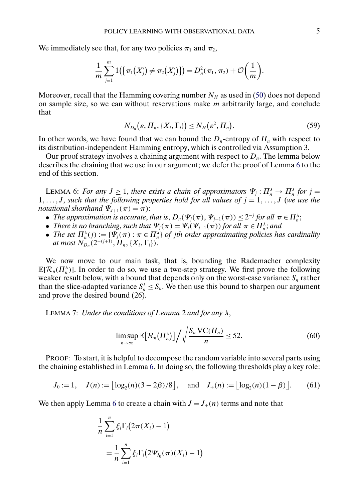<span id="page-4-0"></span>We immediately see that, for any two policies  $\pi_1$  and  $\pi_2$ ,

$$
\frac{1}{m}\sum_{j=1}^m 1(\{\pi_1(X'_j)\neq \pi_2(X'_j)\})=D_n^2(\pi_1,\pi_2)+\mathcal{O}\left(\frac{1}{m}\right).
$$

Moreover, recall that the Hamming covering number  $N_H$  as used in [\(50\)](#page-0-0) does not depend on sample size, so we can without reservations make  $m$  arbitrarily large, and conclude that

$$
N_{D_n}(\varepsilon, \Pi_n, \{X_i, \Gamma_i\}) \le N_H(\varepsilon^2, \Pi_n). \tag{59}
$$

In other words, we have found that we can bound the  $D_n$ -entropy of  $\Pi_n$  with respect to its distribution-independent Hamming entropy, which is controlled via Assumption 3.

Our proof strategy involves a chaining argument with respect to  $D_n$ . The lemma below describes the chaining that we use in our argument; we defer the proof of Lemma 6 to the end of this section.

LEMMA 6: *For any*  $J \ge 1$ , *there exists a chain of approximators*  $\Psi_j : \Pi_n^{\lambda} \to \Pi_n^{\lambda}$  *for*  $j =$  $1, \ldots, J$ , such that the following properties hold for all values of  $j = 1, \ldots, J$  (we use the *notational shorthand*  $\Psi_{J+1}(\pi) = \pi$ ):

- *The approximation is accurate, that is,*  $D_n(\Psi_j(\pi), \Psi_{j+1}(\pi)) \leq 2^{-j}$  *for all*  $\pi \in \Pi_n^{\lambda}$ ;
- *There is no branching, such that*  $\Psi_j(\pi) = \Psi_j(\Psi_{j+1}(\pi))$  *for all*  $\pi \in \Pi_n^{\lambda}$ *; and*
- *The set*  $\Pi_n^{\lambda}(j) := {\Psi_j(\pi) : \pi \in \Pi_n^{\lambda}}$  *of jth order approximating policies has cardinality* at most  $\overline{N}_{D_n}(2^{-(j+1)},\overline{\Pi}_n,\{X_i,\Gamma_i\}).$

We now move to our main task, that is, bounding the Rademacher complexity  $\mathbb{E}[\mathcal{R}_n(\Pi_n^{\lambda})]$ . In order to do so, we use a two-step strategy. We first prove the following weaker result below, with a bound that depends only on the worst-case variance  $S_n$  rather than the slice-adapted variance  $S_n^{\lambda} \leq S_n$ . We then use this bound to sharpen our argument and prove the desired bound (26).

LEMMA 7: *Under the conditions of Lemma* 2 *and for any* λ,

$$
\limsup_{n\to\infty} \mathbb{E}\big[\mathcal{R}_n(\Pi_n^{\lambda})\big]\bigg/\sqrt{\frac{S_n\,\mathrm{VC}(\Pi_n)}{n}}\leq 52.\tag{60}
$$

PROOF: To start, it is helpful to decompose the random variable into several parts using the chaining established in Lemma 6. In doing so, the following thresholds play a key role:

$$
J_0 := 1
$$
,  $J(n) := \lfloor \log_2(n)(3 - 2\beta)/8 \rfloor$ , and  $J_+(n) := \lfloor \log_2(n)(1 - \beta) \rfloor$ . (61)

We then apply Lemma 6 to create a chain with  $J = J_{+}(n)$  terms and note that

$$
\frac{1}{n}\sum_{i=1}^{n}\xi_{i}\Gamma_{i}(2\pi(X_{i})-1)
$$
\n
$$
=\frac{1}{n}\sum_{i=1}^{n}\xi_{i}\Gamma_{i}(2\Psi_{J_{0}}(\pi)(X_{i})-1)
$$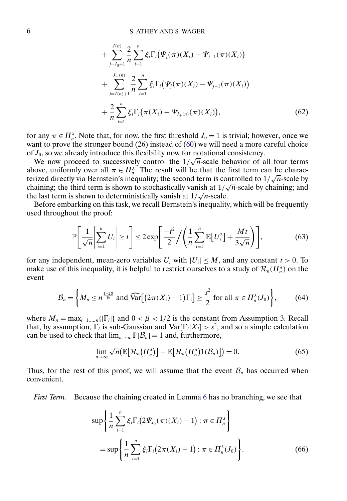<span id="page-5-0"></span>+ 
$$
\sum_{j=J_0+1}^{J(n)} \frac{2}{n} \sum_{i=1}^n \xi_i \Gamma_i (\Psi_j(\pi)(X_i) - \Psi_{j-1}(\pi)(X_i))
$$
  
+ 
$$
\sum_{j=J(n)+1}^{J_+(n)} \frac{2}{n} \sum_{i=1}^n \xi_i \Gamma_i (\Psi_j(\pi)(X_i) - \Psi_{j-1}(\pi)(X_i))
$$
  
+ 
$$
\frac{2}{n} \sum_{i=1}^n \xi_i \Gamma_i (\pi(X_i) - \Psi_{J_+(n)}(\pi)(X_i)),
$$
(62)

for any  $\pi \in \Pi_n^{\lambda}$ . Note that, for now, the first threshold  $J_0 = 1$  is trivial; however, once we want to prove the stronger bound (26) instead of [\(60\)](#page-4-0) we will need a more careful choice of  $J_0$ , so we already introduce this flexibility now for notational consistency.

 $J_0$ , so we already introduce this hexibility how for hotational consistency.<br>We now proceed to successively control the  $1/\sqrt{n}$ -scale behavior of all four terms above, uniformly over all  $\pi \in \Pi_n^{\lambda}$ . The result will be that the first term can be characabove, uniformly over all  $\pi \in H_n^{\infty}$ . The result will be that the first term can be characterized directly via Bernstein's inequality; the second term is controlled to  $1/\sqrt{n}$ -scale by chaining; the third term is shown to stochastically vanish at  $1/\sqrt{n}$ -scale by chaining; and chaining; and chaining; the third term is shown to stochastically vanish at  $1/\sqrt{n}$ -scale.

Before embarking on this task, we recall Bernstein's inequality, which will be frequently used throughout the proof:

$$
\mathbb{P}\left[\frac{1}{\sqrt{n}}\left|\sum_{i=1}^{n}U_i\right|\geq t\right]\leq 2\exp\left[\frac{-t^2}{2}\bigg/\left(\frac{1}{n}\sum_{i=1}^{n}\mathbb{E}\left[U_i^2\right]+\frac{Mt}{3\sqrt{n}}\right)\right],\tag{63}
$$

for any independent, mean-zero variables  $U_i$  with  $|U_i| \leq M$ , and any constant  $t > 0$ . To make use of this inequality, it is helpful to restrict ourselves to a study of  $\mathcal{R}_n(\Pi_n^{\lambda})$  on the event

$$
\mathcal{B}_n = \left\{ M_n \le n^{\frac{1-2\beta}{16}} \text{ and } \widehat{\text{Var}} \big[ \big( 2\pi(X_i) - 1 \big) \Gamma_i \big] \ge \frac{s^2}{2} \text{ for all } \pi \in \Pi_n^{\lambda}(J_0) \right\},\tag{64}
$$

where  $M_n = \max_{i=1,\dots,n} {|\Gamma_i|}$  and  $0 < \beta < 1/2$  is the constant from Assumption 3. Recall that, by assumption,  $\Gamma_i$  is sub-Gaussian and Var $[\Gamma_i|X_i] > s^2$ , and so a simple calculation can be used to check that  $\lim_{n\to\infty} \mathbb{P}[\mathcal{B}_n] = 1$  and, furthermore,

$$
\lim_{n\to\infty}\sqrt{n}\big(\mathbb{E}\big[\mathcal{R}_n\big(\Pi_n^{\lambda}\big)\big]-\mathbb{E}\big[\mathcal{R}_n\big(\Pi_n^{\lambda}\big)1(\mathcal{B}_n)\big]\big)=0.\hspace{1cm} (65)
$$

Thus, for the rest of this proof, we will assume that the event  $\mathcal{B}_n$  has occurred when convenient.

*First Term.* Because the chaining created in Lemma [6](#page-4-0) has no branching, we see that

$$
\sup \left\{ \frac{1}{n} \sum_{i=1}^{n} \xi_i \Gamma_i \left( 2 \Psi_{J_0}(\pi) (X_i) - 1 \right) : \pi \in \Pi_n^{\lambda} \right\}
$$
  
= 
$$
\sup \left\{ \frac{1}{n} \sum_{i=1}^{n} \xi_i \Gamma_i \left( 2 \pi (X_i) - 1 \right) : \pi \in \Pi_n^{\lambda}(J_0) \right\}.
$$
 (66)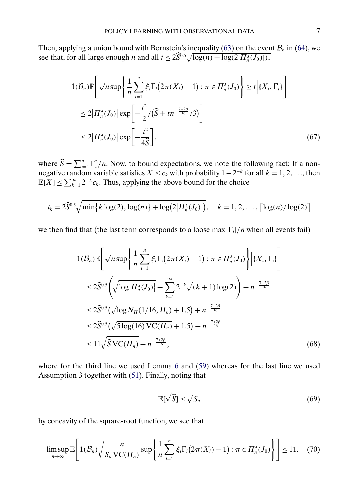<span id="page-6-0"></span>Then, applying a union bound with Bernstein's inequality [\(63\)](#page-5-0) on the event  $B_n$  in [\(64\)](#page-5-0), we see that, for all large enough *n* and all  $t \leq 2\widehat{S}^{0.5}\sqrt{\log(n) + \log(2|\Pi_n^{\lambda}(J_0)|)}$ ,

$$
1(\mathcal{B}_n)\mathbb{P}\bigg[\sqrt{n}\sup\bigg\{\frac{1}{n}\sum_{i=1}^n\xi_i\Gamma_i\big(2\pi(X_i)-1\big):\pi\in\Pi_n^{\lambda}(J_0)\bigg\}\geq t\bigg|\{X_i,\Gamma_i\}\bigg]
$$
  
\n
$$
\leq 2\big|\Pi_n^{\lambda}(J_0)\big|\exp\bigg[-\frac{t^2}{2}/\big(\widehat{S}+tn^{-\frac{7+2\beta}{16}}/3\big)\bigg]
$$
  
\n
$$
\leq 2\big|\Pi_n^{\lambda}(J_0)\big|\exp\bigg[-\frac{t^2}{4\widehat{S}}\bigg],
$$
 (67)

where  $\widehat{S} = \sum_{i=1}^{n} \Gamma_i^2/n$ . Now, to bound expectations, we note the following fact: If a nonnegative random variable satisfies  $X \leq c_k$  with probability  $1 - 2^{-k}$  for all  $k = 1, 2, \ldots$ , then  $\mathbb{E}[X] \le \sum_{k=1}^{\infty} 2^{-k} c_k$ . Thus, applying the above bound for the choice

$$
t_k = 2\widehat{S}^{0.5} \sqrt{\min\{k \log(2), \log(n)\} + \log(2|\Pi_n^{\lambda}(J_0)|)}, \quad k = 1, 2, ..., \lceil \log(n)/\log(2) \rceil
$$

we then find that (the last term corresponds to a loose max  $|\Gamma_i|/n$  when all events fail)

$$
1(\mathcal{B}_{n})\mathbb{E}\left[\sqrt{n}\sup\left\{\frac{1}{n}\sum_{i=1}^{n}\xi_{i}\Gamma_{i}(2\pi(X_{i})-1):\pi\in\Pi_{n}^{\lambda}(J_{0})\right\}\Big| \{X_{i},\Gamma_{i}\}\right]
$$
  
\n
$$
\leq 2\widehat{S}^{0.5}\left(\sqrt{\log|\Pi_{n}^{\lambda}(J_{0})|}+\sum_{k=1}^{\infty}2^{-k}\sqrt{(k+1)\log(2)}\right)+n^{-\frac{7+2\beta}{16}}
$$
  
\n
$$
\leq 2\widehat{S}^{0.5}\left(\sqrt{\log N_{H}(1/16,\Pi_{n})}+1.5\right)+n^{-\frac{7+2\beta}{16}}
$$
  
\n
$$
\leq 2\widehat{S}^{0.5}\left(\sqrt{5\log(16)\text{VC}(\Pi_{n})}+1.5\right)+n^{-\frac{7+2\beta}{16}}
$$
  
\n
$$
\leq 11\sqrt{\widehat{S}\text{VC}(\Pi_{n})}+n^{-\frac{7+2\beta}{16}},
$$
 (68)

where for the third line we used Lemma [6](#page-4-0) and [\(59\)](#page-4-0) whereas for the last line we used Assumption 3 together with [\(51\)](#page-0-0). Finally, noting that

$$
\mathbb{E}[\sqrt{\widehat{S}}] \le \sqrt{S_n} \tag{69}
$$

by concavity of the square-root function, we see that

$$
\limsup_{n\to\infty}\mathbb{E}\Bigg[1(\mathcal{B}_n)\sqrt{\frac{n}{S_n\operatorname{VC}(H_n)}}\sup\Bigg\{\frac{1}{n}\sum_{i=1}^n\xi_i\Gamma_i\big(2\pi(X_i)-1\big):\pi\in\overline{H}_n^{\lambda}(J_0)\Bigg\}\Bigg]\leq 11. \quad (70)
$$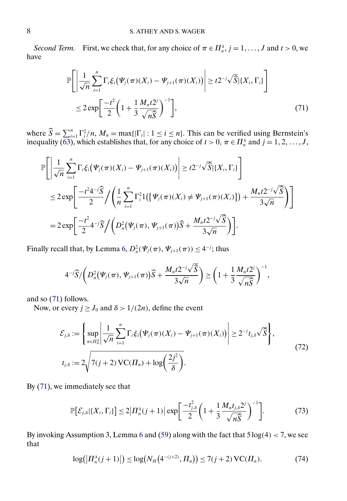<span id="page-7-0"></span>*Second Term.* First, we check that, for any choice of  $\pi \in \Pi_n^{\lambda}$ ,  $j = 1, ..., J$  and  $t > 0$ , we have

$$
\mathbb{P}\Bigg[\Bigg|\frac{1}{\sqrt{n}}\sum_{i=1}^{n}\Gamma_{i}\xi_{i}(\Psi_{j}(\pi)(X_{i})-\Psi_{j+1}(\pi)(X_{i}))\Bigg|\geq t2^{-j}\sqrt{\widehat{S}}|\{X_{i},\Gamma_{i}\}\Bigg]
$$
  

$$
\leq 2\exp\Bigg[\frac{-t^{2}}{2}\bigg(1+\frac{1}{3}\frac{M_{n}t2^{j}}{\sqrt{n\widehat{S}}}\bigg)^{-1}\Bigg],
$$
 (71)

where  $\widehat{S} = \sum_{i=1}^n \Gamma_i^2/n$ ,  $M_n = \max\{|\Gamma_i| : 1 \le i \le n\}$ . This can be verified using Bernstein's inequality [\(63\)](#page-5-0), which establishes that, for any choice of  $t > 0$ ,  $\pi \in \Pi_n^{\lambda}$  and  $j = 1, 2, ..., J$ ,

$$
\mathbb{P}\Bigg[\Bigg|\frac{1}{\sqrt{n}}\sum_{i=1}^{n}\Gamma_{i}\xi_{i}(\Psi_{j}(\pi)(X_{i}) - \Psi_{j+1}(\pi)(X_{i}))\Bigg| \geq t2^{-j}\sqrt{\widehat{S}}|\{X_{i},\Gamma_{i}\}\Bigg]
$$
  
\n
$$
\leq 2\exp\Bigg[\frac{-t^{2}4^{-j}\widehat{S}}{2}\Big/\Bigg(\frac{1}{n}\sum_{i=1}^{n}\Gamma_{i}^{2}1(\{\Psi_{j}(\pi)(X_{i}) \neq \Psi_{j+1}(\pi)(X_{i})\}) + \frac{M_{n}t2^{-j}\sqrt{\widehat{S}}}{3\sqrt{n}}\Bigg)\Bigg]
$$
  
\n
$$
= 2\exp\Bigg[\frac{-t^{2}}{2}4^{-j}\widehat{S}\Big/\Bigg(D_{n}^{2}(\Psi_{j}(\pi),\Psi_{j+1}(\pi))\widehat{S} + \frac{M_{n}t2^{-j}\sqrt{\widehat{S}}}{3\sqrt{n}}\Bigg)\Bigg].
$$

Finally recall that, by Lemma [6,](#page-4-0)  $D_n^2(\Psi_j(\pi), \Psi_{j+1}(\pi)) \leq 4^{-j}$ ; thus

$$
4^{-j}\widehat{S}/\left(D_n^2(\Psi_j(\pi),\Psi_{j+1}(\pi))\widehat{S}+\frac{M_nt2^{-j}\sqrt{\widehat{S}}}{3\sqrt{n}}\right)\geq \left(1+\frac{1}{3}\frac{M_nt2^j}{\sqrt{n}\widehat{S}}\right)^{-1},
$$

and so (71) follows.

Now, or every  $j \ge J_0$  and  $\delta > 1/(2n)$ , define the event

$$
\mathcal{E}_{j,\delta} := \left\{ \sup_{\pi \in \Pi_n^{\lambda}} \left| \frac{1}{\sqrt{n}} \sum_{i=1}^n \Gamma_i \xi_i (\Psi_j(\pi)(X_i) - \Psi_{j+1}(\pi)(X_i)) \right| \ge 2^{-j} t_{j,\delta} \sqrt{\widehat{S}} \right\},\
$$
  

$$
t_{j,\delta} := 2 \sqrt{7(j+2) \operatorname{VC}(\Pi_n) + \log \left( \frac{2j^2}{\delta} \right)}.
$$
 (72)

By (71), we immediately see that

$$
\mathbb{P}\big[\mathcal{E}_{j,\delta}|\{X_i,\Gamma_i\}\big] \le 2\big|\Pi_n^{\lambda}(j+1)\big|\exp\bigg[\frac{-t_{j,\delta}^2}{2}\bigg(1+\frac{1}{3}\frac{M_nt_{j,\delta}2^j}{\sqrt{n\widehat{S}}}\bigg)^{-1}\bigg].\tag{73}
$$

By invoking Assumption 3, Lemma [6](#page-4-0) and [\(59\)](#page-4-0) along with the fact that  $5 \log(4) < 7$ , we see that

$$
\log(|\Pi_n^{\lambda}(j+1)|) \le \log(N_H(4^{-(j+2)}, \Pi_n)) \le 7(j+2) \operatorname{VC}(\Pi_n). \tag{74}
$$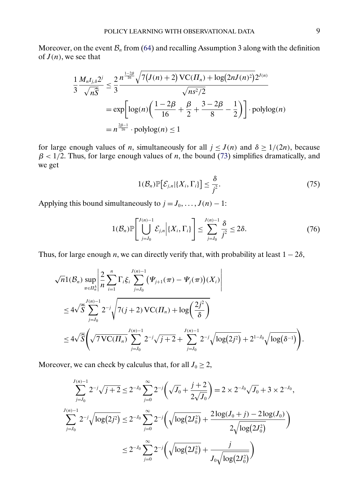Moreover, on the event  $\mathcal{B}_n$  from [\(64\)](#page-5-0) and recalling Assumption 3 along with the definition of  $J(n)$ , we see that

$$
\frac{1}{3} \frac{M_n t_{j,\delta} 2^j}{\sqrt{n\widehat{S}}} \le \frac{2}{3} \frac{n^{\frac{1-2\beta}{16}} \sqrt{7(3(n+2))} \text{VC}(H_n) + \log(2n \cdot 3(n^2))} \sqrt{n s^2 / 2}
$$
\n
$$
= \exp \left[ \log(n) \left( \frac{1-2\beta}{16} + \frac{\beta}{2} + \frac{3-2\beta}{8} - \frac{1}{2} \right) \right] \cdot \text{polylog}(n)
$$
\n
$$
= n^{\frac{2\beta-1}{16}} \cdot \text{polylog}(n) \le 1
$$

for large enough values of *n*, simultaneously for all  $j \leq J(n)$  and  $\delta \geq 1/(2n)$ , because  $\beta$  < 1/2. Thus, for large enough values of *n*, the bound [\(73\)](#page-7-0) simplifies dramatically, and we get

$$
1(\mathcal{B}_n)\mathbb{P}\big[\mathcal{E}_{j,n}|\{X_i,\Gamma_i\}\big]\leq \frac{\delta}{j^2}.\tag{75}
$$

Applying this bound simultaneously to  $j = J_0, \ldots, J(n) - 1$ :

$$
1(\mathcal{B}_n)\mathbb{P}\left[\bigcup_{j=J_0}^{J(n)-1}\mathcal{E}_{j,n}\Big|\{X_i,\Gamma_i\}\right] \leq \sum_{j=J_0}^{J(n)-1}\frac{\delta}{j^2} \leq 2\delta. \tag{76}
$$

Thus, for large enough *n*, we can directly verify that, with probability at least  $1 - 2\delta$ ,

$$
\sqrt{n}1(\mathcal{B}_n) \sup_{\pi \in \Pi_n^{\lambda}} \left| \frac{2}{n} \sum_{i=1}^n \Gamma_i \xi_i \sum_{j=J_0}^{J(n)-1} (\Psi_{j+1}(\pi) - \Psi_j(\pi))(X_i) \right|
$$
  

$$
\leq 4\sqrt{\hat{S}} \sum_{j=J_0}^{J(n)-1} 2^{-j} \sqrt{7(j+2) \operatorname{VC}(II_n) + \log \left( \frac{2j^2}{\delta} \right)}
$$
  

$$
\leq 4\sqrt{\hat{S}} \left( \sqrt{7 \operatorname{VC}(II_n)} \sum_{j=J_0}^{J(n)-1} 2^{-j} \sqrt{j+2} + \sum_{j=J_0}^{J(n)-1} 2^{-j} \sqrt{\log(2j^2)} + 2^{1-J_0} \sqrt{\log(\delta^{-1})} \right).
$$

Moreover, we can check by calculus that, for all  $J_0 \geq 2$ ,

$$
\sum_{j=J_0}^{J(n)-1} 2^{-j} \sqrt{j+2} \le 2^{-J_0} \sum_{j=0}^{\infty} 2^{-j} \left(\sqrt{J_0} + \frac{j+2}{2\sqrt{J_0}}\right) = 2 \times 2^{-J_0} \sqrt{J_0} + 3 \times 2^{-J_0},
$$
  

$$
\sum_{j=J_0}^{J(n)-1} 2^{-j} \sqrt{\log(2j^2)} \le 2^{-J_0} \sum_{j=0}^{\infty} 2^{-j} \left(\sqrt{\log(2J_0^2)} + \frac{2\log(J_0 + j) - 2\log(J_0)}{2\sqrt{\log(2J_0^2)}}\right)
$$
  

$$
\le 2^{-J_0} \sum_{j=0}^{\infty} 2^{-j} \left(\sqrt{\log(2J_0^2)} + \frac{j}{J_0 \sqrt{\log(2J_0^2)}}\right)
$$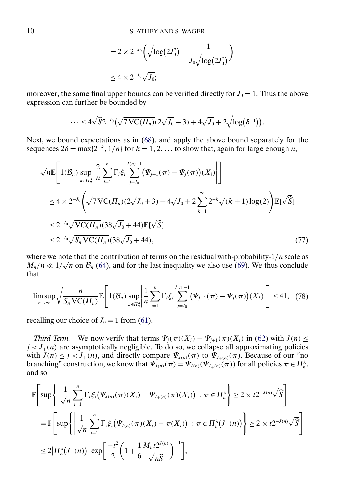$$
=2\times 2^{-J_0}\bigg(\sqrt{\log(2J_0^2)}+\frac{1}{J_0\sqrt{\log(2J_0^2)}}\bigg)
$$
  

$$
\leq 4\times 2^{-J_0}\sqrt{J_0};
$$

<span id="page-9-0"></span>moreover, the same final upper bounds can be verified directly for  $J_0 = 1$ . Thus the above expression can further be bounded by

$$
\cdots \leq 4\sqrt{\widehat{S}}2^{-J_0}\left(\sqrt{7\,\mathrm{VC}(II_n)}(2\sqrt{J_0}+3)+4\sqrt{J_0}+2\sqrt{\log(\delta^{-1})}\right).
$$

Next, we bound expectations as in [\(68\)](#page-6-0), and apply the above bound separately for the sequences  $2\delta = \max\{2^{-k}, 1/n\}$  for  $k = 1, 2, \dots$  to show that, again for large enough *n*,

$$
\sqrt{n}\mathbb{E}\left[1(\mathcal{B}_n) \sup_{\pi \in \Pi_n^{\lambda}} \left| \frac{2}{n} \sum_{i=1}^n \Gamma_i \xi_i \sum_{j=J_0}^{J(n)-1} (\Psi_{j+1}(\pi) - \Psi_j(\pi))(X_i) \right| \right]
$$
  
\n
$$
\leq 4 \times 2^{-J_0} \left(\sqrt{7 \text{VC}(II_n)} (2\sqrt{J_0} + 3) + 4\sqrt{J_0} + 2 \sum_{k=1}^{\infty} 2^{-k} \sqrt{(k+1) \log(2)} \right) \mathbb{E}[\sqrt{\widehat{S}}]
$$
  
\n
$$
\leq 2^{-J_0} \sqrt{\text{VC}(II_n)} (38\sqrt{J_0} + 44) \mathbb{E}[\sqrt{\widehat{S}}]
$$
  
\n
$$
\leq 2^{-J_0} \sqrt{S_n \text{VC}(II_n)} (38\sqrt{J_0} + 44), \qquad (77)
$$

where we note that the contribution of terms on the residual with-probability- $1/n$  scale as where we note that the contribution of terms on the residual with-probability-1/*n* scale as  $M_n/n \ll 1/\sqrt{n}$  on  $\mathcal{B}_n$  [\(64\)](#page-5-0), and for the last inequality we also use [\(69\)](#page-6-0). We thus conclude that

$$
\limsup_{n\to\infty}\sqrt{\frac{n}{S_n\operatorname{VC}(H_n)}}\mathbb{E}\left[\left.1(\mathcal{B}_n)\sup_{\pi\in\mathcal{H}_n^{\lambda}}\left|\frac{1}{n}\sum_{i=1}^n\Gamma_i\xi_i\sum_{j=J_0}^{J(n)-1}\left(\Psi_{j+1}(\pi)-\Psi_j(\pi)\right)(X_i)\right|\right]\right]\leq 41,\quad(78)
$$

recalling our choice of  $J_0 = 1$  from [\(61\)](#page-4-0).

*Third Term.* We now verify that terms  $\Psi_j(\pi)(X_i) - \Psi_{j+1}(\pi)(X_i)$  in [\(62\)](#page-5-0) with  $J(n) \leq$  $j < J_{+}(n)$  are asymptotically negligible. To do so, we collapse all approximating policies with  $J(n) \le j < J_+(n)$ , and directly compare  $\Psi_{J(n)}(\pi)$  to  $\Psi_{J_+(n)}(\pi)$ . Because of our "no branching" construction, we know that  $\Psi_{J(n)}(\pi) = \Psi_{J(n)}(\Psi_{J+(n)}(\pi))$  for all policies  $\pi \in \Pi_n^{\lambda}$ , and so

$$
\mathbb{P}\left[\sup\left\{\left|\frac{1}{\sqrt{n}}\sum_{i=1}^{n}\Gamma_{i}\xi_{i}(\Psi_{J(n)}(\pi)(X_{i}) - \Psi_{J+(n)}(\pi)(X_{i}))\right| : \pi \in \Pi_{n}^{\lambda}\right\} \geq 2 \times t2^{-J(n)}\sqrt{\widehat{S}}\right]
$$
\n
$$
= \mathbb{P}\left[\sup\left\{\left|\frac{1}{\sqrt{n}}\sum_{i=1}^{n}\Gamma_{i}\xi_{i}(\Psi_{J(n)}(\pi)(X_{i}) - \pi(X_{i}))\right| : \pi \in \Pi_{n}^{\lambda}(J+(n))\right\} \geq 2 \times t2^{-J(n)}\sqrt{\widehat{S}}\right]
$$
\n
$$
\leq 2\left|\Pi_{n}^{\lambda}(J+(n))\right|\exp\left[\frac{-t^{2}}{2}\left(1 + \frac{1}{6}\frac{M_{n}t2^{J(n)}}{\sqrt{n\widehat{S}}}\right)^{-1}\right],
$$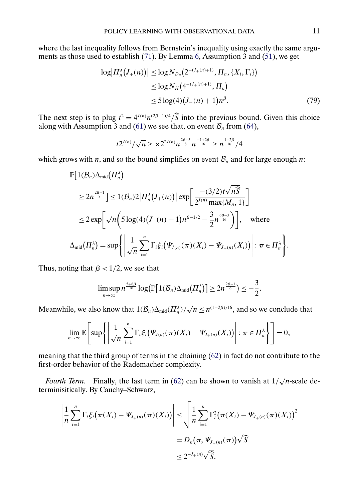where the last inequality follows from Bernstein's inequality using exactly the same argu-ments as those used to establish [\(71\)](#page-7-0). By Lemma [6,](#page-4-0) Assumption  $\overline{3}$  and [\(51\)](#page-0-0), we get

$$
\log | \Pi_n^{\lambda}(J_+(n)) | \le \log N_{D_n}(2^{-(J_+(n)+1)}, \Pi_n, \{X_i, \Gamma_i\})
$$
  
\n
$$
\le \log N_H(4^{-(J_+(n)+1)}, \Pi_n)
$$
  
\n
$$
\le 5 \log(4) (J_+(n)+1) n^{\beta}.
$$
\n(79)

The next step is to plug  $t^2 = 4^{J(n)} n^{(2\beta-1)/4} / \widehat{S}$  into the previous bound. Given this choice along with Assumption 3 and [\(61\)](#page-4-0) we see that, on event  $B_n$  from [\(64\)](#page-5-0),

$$
t2^{J(n)}/\sqrt{n} \geq \times 2^{2J(n)} n^{\frac{2\beta-5}{8}} n^{\frac{-1+2\beta}{16}} \geq n^{\frac{1-2\beta}{16}}/4
$$

which grows with *n*, and so the bound simplifies on event  $B_n$  and for large enough *n*:

$$
\mathbb{P}\Big[1(\mathcal{B}_n)\Delta_{\text{mid}}(\Pi_n^{\lambda})\Big]
$$
\n
$$
\geq 2n^{\frac{2\beta-1}{8}}\Big] \leq 1(\mathcal{B}_n)2|\Pi_n^{\lambda}(J_+(n))|\exp\Big[\frac{-(3/2)t\sqrt{n\widehat{S}}}{2^{J(n)}\max\{M_n, 1\}}\Big]
$$
\n
$$
\leq 2\exp\Big[\sqrt{n}\Big(5\log(4)(J_+(n)+1)n^{\beta-1/2}-\frac{3}{2}n^{\frac{6\beta-3}{16}}\Big)\Big], \text{ where}
$$
\n
$$
\Delta_{\text{mid}}(\Pi_n^{\lambda}) = \sup\Big\{\Big|\frac{1}{\sqrt{n}}\sum_{i=1}^n\Gamma_i\xi_i(\Psi_{J(n)}(\pi)(X_i) - \Psi_{J_+(n)}(X_i))\Big| : \pi \in \Pi_n^{\lambda}\Big\}.
$$

Thus, noting that  $\beta$  < 1/2, we see that

$$
\limsup_{n\to\infty}n^{\frac{5+6\beta}{16}}\log(\mathbb{P}\left[1(\mathcal{B}_n)\Delta_{\mathrm{mid}}(\Pi_n^{\lambda})\right]\geq 2n^{\frac{2\beta-1}{8}})\leq -\frac{3}{2}.
$$

Meanwhile, we also know that  $1(\mathcal{B}_n)\Delta_{mid}(\Pi_n^{\lambda})/\sqrt{n} \leq n^{(1-2\beta)/16}$ , and so we conclude that

$$
\lim_{n\to\infty}\mathbb{E}\Bigg[\sup\Bigg\{\Bigg|\frac{1}{\sqrt{n}}\sum_{i=1}^n\Gamma_i\xi_i\big(\Psi_{J(n)}(\pi)(X_i)-\Psi_{J_+(n)}(X_i)\big)\Bigg|:\pi\in\Pi_n^\lambda\Bigg\}\Bigg]=0,
$$

meaning that the third group of terms in the chaining [\(62\)](#page-5-0) in fact do not contribute to the first-order behavior of the Rademacher complexity.

*Fourth Term.* Finally, the last term in [\(62\)](#page-5-0) can be shown to vanish at  $1/\sqrt{n}$ -scale determinisitically. By Cauchy–Schwarz,

$$
\left| \frac{1}{n} \sum_{i=1}^{n} \Gamma_{i} \xi_{i} (\pi(X_{i}) - \Psi_{J_{+}(n)}(\pi)(X_{i})) \right| \leq \sqrt{\frac{1}{n} \sum_{i=1}^{n} \Gamma_{i}^{2} (\pi(X_{i}) - \Psi_{J_{+}(n)}(\pi)(X_{i}))^{2}}
$$
  
=  $D_{n} (\pi, \Psi_{J_{+}(n)}(\pi)) \sqrt{\widehat{S}}$   
 $\leq 2^{-J_{+}(n)} \sqrt{\widehat{S}}.$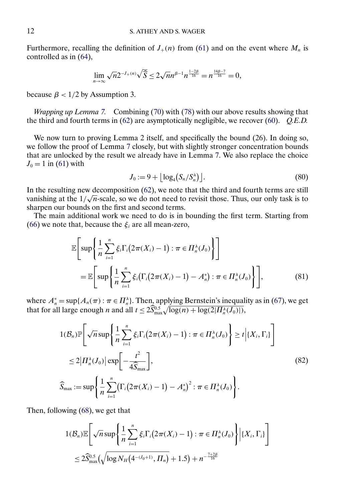Furthermore, recalling the definition of  $J_+(n)$  from [\(61\)](#page-4-0) and on the event where  $M_n$  is controlled as in [\(64\)](#page-5-0),

$$
\lim_{n\to\infty}\sqrt{n}2^{-J_{+}(n)}\sqrt{\widehat{S}}\leq 2\sqrt{n}n^{\beta-1}n^{\frac{1-2\beta}{16}}=n^{\frac{14\beta-7}{16}}=0,
$$

because  $\beta$  < 1/2 by Assumption 3.

*Wrapping up Lemma [7.](#page-4-0)* Combining [\(70\)](#page-6-0) with [\(78\)](#page-9-0) with our above results showing that the third and fourth terms in [\(62\)](#page-5-0) are asymptotically negligible, we recover [\(60\)](#page-4-0). *Q.E.D.*

We now turn to proving Lemma 2 itself, and specifically the bound (26). In doing so, we follow the proof of Lemma [7](#page-4-0) closely, but with slightly stronger concentration bounds that are unlocked by the result we already have in Lemma [7.](#page-4-0) We also replace the choice  $J_0 = 1$  in [\(61\)](#page-4-0) with

$$
J_0 := 9 + \lfloor \log_4(S_n/S_n^{\lambda}) \rfloor. \tag{80}
$$

In the resulting new decomposition [\(62\)](#page-5-0), we note that the third and fourth terms are still In the resulting new decomposition ( $\sigma$ 2), we note that the third and fourth terms are still<br>vanishing at the  $1/\sqrt{n}$ -scale, so we do not need to revisit those. Thus, our only task is to sharpen our bounds on the first and second terms.

The main additional work we need to do is in bounding the first term. Starting from [\(66\)](#page-5-0) we note that, because the  $\xi_i$  are all mean-zero,

$$
\mathbb{E}\Bigg[\sup\Bigg\{\frac{1}{n}\sum_{i=1}^{n}\xi_{i}\Gamma_{i}\big(2\pi(X_{i})-1\big):\pi\in\Pi_{n}^{\lambda}(J_{0})\Bigg\}\Bigg]
$$
\n
$$
=\mathbb{E}\Bigg[\sup\Bigg\{\frac{1}{n}\sum_{i=1}^{n}\xi_{i}\big(\Gamma_{i}\big(2\pi(X_{i})-1\big)-A_{n}^{*}\big):\pi\in\Pi_{n}^{\lambda}(J_{0})\Bigg\}\Bigg],\tag{81}
$$

where  $A_n^* = \sup\{A_n(\pi) : \pi \in \Pi_n^{\lambda}\}\$ . Then, applying Bernstein's inequality as in [\(67\)](#page-6-0), we get that for all large enough *n* and all  $t \leq 2\widehat{S}_{\max}^{0.5} \sqrt{\log(n) + \log(2|H_n^{\lambda}(J_0)|)}$ ,

$$
1(\mathcal{B}_n)\mathbb{P}\left[\sqrt{n}\sup\left\{\frac{1}{n}\sum_{i=1}^n\xi_i\Gamma_i(2\pi(X_i)-1):\pi\in\Pi_n^{\lambda}(J_0)\right\}\geq t\Big|\{X_i,\Gamma_i\}\right]
$$
  
\n
$$
\leq 2\big|\Pi_n^{\lambda}(J_0)\big|\exp\bigg[-\frac{t^2}{4\widehat{S}_{\max}}\bigg],
$$
  
\n
$$
\widehat{S}_{\max}:=\sup\bigg\{\frac{1}{n}\sum_{i=1}^n\big(\Gamma_i(2\pi(X_i)-1)-A_n^*\big)^2:\pi\in\Pi_n^{\lambda}(J_0)\bigg\}.
$$
\n(82)

Then, following [\(68\)](#page-6-0), we get that

$$
1(\mathcal{B}_n)\mathbb{E}\Bigg[\sqrt{n}\sup\Bigg\{\frac{1}{n}\sum_{i=1}^n\xi_i\Gamma_i\big(2\pi(X_i)-1\big):\pi\in\Pi_n^{\lambda}(J_0)\Bigg\}\Big|\{X_i,\Gamma_i\}\Bigg]
$$
  

$$
\leq 2\widehat{S}_{\max}^{0.5}\big(\sqrt{\log N_H\big(4^{-(J_0+1)},\Pi_n\big)}+1.5\big)+n^{-\frac{7+2\beta}{16}}
$$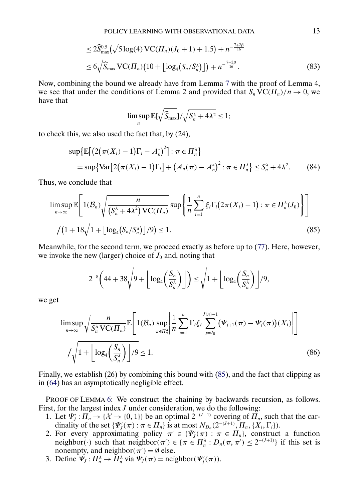$$
\leq 2\widehat{S}_{\max}^{0.5}(\sqrt{5\log(4)\text{VC}(H_n)(J_0+1)}+1.5)+n^{-\frac{7+2\beta}{16}}\\ \leq 6\sqrt{\widehat{S}_{\max}\text{VC}(H_n)(10+\lfloor\log_4(S_n/S_n^{\lambda})\rfloor)}+n^{-\frac{7+2\beta}{16}}.\tag{83}
$$

Now, combining the bound we already have from Lemma [7](#page-4-0) with the proof of Lemma 4, we see that under the conditions of Lemma 2 and provided that  $S_n \text{VC}(H_n)/n \to 0$ , we have that

$$
\limsup_n \mathbb{E}[\sqrt{\widehat{S}_{\max}}]/\sqrt{S_n^{\lambda}+4\lambda^2}\leq 1;
$$

to check this, we also used the fact that, by (24),

$$
\sup \{ \mathbb{E} \big[ \big( 2(\pi(X_i) - 1) \Gamma_i - A_n^* \big)^2 \big] : \pi \in \Pi_n^{\lambda} \}
$$
  
= 
$$
\sup \{ \text{Var} \big[ 2(\pi(X_i) - 1) \Gamma_i \big] + \big( A_n(\pi) - A_n^* \big)^2 : \pi \in \Pi_n^{\lambda} \} \le S_n^{\lambda} + 4\lambda^2.
$$
 (84)

Thus, we conclude that

$$
\limsup_{n\to\infty} \mathbb{E}\Bigg[1(\mathcal{B}_n)\sqrt{\frac{n}{(S_n^{\lambda}+4\lambda^2)\,\mathrm{VC}(H_n)}}\sup\Bigg\{\frac{1}{n}\sum_{i=1}^n\xi_i\Gamma_i\big(2\pi(X_i)-1\big):\pi\in H_n^{\lambda}(J_0)\Bigg\}\Bigg]
$$
\n
$$
/(1+18\sqrt{1+\lfloor\log_4\big(S_n/S_n^{\lambda}\big)\rfloor/9})\leq 1.
$$
\n(85)

Meanwhile, for the second term, we proceed exactly as before up to [\(77\)](#page-9-0). Here, however, we invoke the new (larger) choice of  $J_0$  and, noting that

$$
2^{-8}\left(44+38\sqrt{9+\left\lfloor \log_4\left(\frac{S_n}{S_n^{\lambda}}\right)\right\rfloor}\right)\leq \sqrt{1+\left\lfloor \log_4\left(\frac{S_n}{S_n^{\lambda}}\right)\right\rfloor/9},
$$

we get

$$
\limsup_{n\to\infty}\sqrt{\frac{n}{S_n^{\lambda}VC(\Pi_n)}}\mathbb{E}\left[\mathbb{1}(\mathcal{B}_n)\sup_{\pi\in\Pi_n^{\lambda}}\left|\frac{1}{n}\sum_{i=1}^n\Gamma_i\xi_i\sum_{j=J_0}^{J(n)-1}(\Psi_{j+1}(\pi)-\Psi_j(\pi))(X_i)\right|\right]
$$
\n
$$
/\sqrt{1+\left[\log_4\left(\frac{S_n}{S_n^{\lambda}}\right)\right]/9}\leq 1.
$$
\n(86)

Finally, we establish (26) by combining this bound with (85), and the fact that clipping as in [\(64\)](#page-5-0) has an asymptotically negligible effect.

PROOF OF LEMMA [6:](#page-4-0) We construct the chaining by backwards recursion, as follows. First, for the largest index  $J$  under consideration, we do the following:

- 1. Let  $\Psi_j': \Pi_n \to \{\mathcal{X} \to \{0,1\}\}\$  be an optimal  $2^{-(J+1)}$  covering of  $\Pi_n$ , such that the cardinality of the set  $\{\Psi'_{J}(\pi) : \pi \in \Pi_n\}$  is at most  $N_{D_n}(2^{-(J+1)}, \Pi_n, \{X_i, \Gamma_i\})$ .
- 2. For every approximating policy  $\pi' \in \{\Psi_J'(\pi) : \pi \in \Pi_n\}$ , construct a function neighbor(·) such that neighbor( $\pi$ ')  $\in \{\pi \in \Pi_n^{\lambda}: D_n(\pi, \pi') \leq 2^{-(J+1)}\}\$ if this set is nonempty, and neighbor $(\pi') = \emptyset$  else.
- 3. Define  $\Psi_J: \Pi_n^{\lambda} \to \Pi_n^{\lambda}$  via  $\Psi_J(\pi) = \text{neighbor}(\Psi'_j(\pi)).$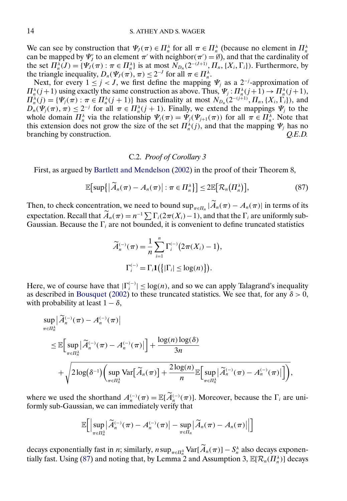<span id="page-13-0"></span>We can see by construction that  $\Psi_J(\pi) \in \Pi_n^{\lambda}$  for all  $\pi \in \Pi_n^{\lambda}$  (because no element in  $\Pi_n^{\lambda}$ can be mapped by  $\Psi'_j$  to an element  $\pi'$  with neighbor( $\pi'$ ) = Ø), and that the cardinality of the set  $\Pi_n^{\lambda}(J) = \{\Psi_J(\pi) : \pi \in \Pi_n^{\lambda}\}\$ is at most  $N_{D_n}(2^{-(J+1)}, \Pi_n, \{X_i, \Gamma_i\})$ . Furthermore, by the triangle inequality,  $D_n(\Psi_J(\pi), \pi) \leq 2^{-J}$  for all  $\pi \in \Pi_n^{\lambda}$ .

Next, for every  $1 \leq j < J$ , we first define the mapping  $\Psi_j$  as a 2<sup>-j</sup>-approximation of  $\Pi_n^{\lambda}(j+1)$  using exactly the same construction as above. Thus,  $\Psi_j: \Pi_n^{\lambda}(j+1) \to \Pi_n^{\lambda}(j+1)$ ,  $\Pi_n^{\lambda}(j) = \{\Psi_j(\pi) : \pi \in \Pi_n^{\lambda}(j+1)\}\$  has cardinality at most  $N_{D_n}(2^{-(j+1)}, \Pi_n, \{X_i, \Gamma_i\})$ , and  $D_n(\Psi_j(\pi), \pi) \leq 2^{-j}$  for all  $\pi \in \Pi_n^{\lambda}(j + 1)$ . Finally, we extend the mappings  $\Psi_j$  to the whole domain  $\prod_n^{\lambda}$  via the relationship  $\Psi_j(\pi) = \Psi_j(\Psi_{j+1}(\pi))$  for all  $\pi \in \prod_n^{\lambda}$ . Note that this extension does not grow the size of the set  $\Pi_n^{\lambda}(j)$ , and that the mapping  $\Psi_j$  has no branching by construction. *Q.E.D.*

### C.2. *Proof of Corollary 3*

First, as argued by [Bartlett and Mendelson](#page-17-0) [\(2002\)](#page-17-0) in the proof of their Theorem 8,

$$
\mathbb{E}\big[\sup\{\big|\widetilde{A}_n(\pi)-A_n(\pi)\big|:\pi\in\Pi_n^{\lambda}\}\big]\leq 2\mathbb{E}\big[\mathcal{R}_n\big(\Pi_n^{\lambda}\big)\big],\tag{87}
$$

Then, to check concentration, we need to bound  $\sup_{\pi \in \Pi_n} |\widetilde{A}_n(\pi) - A_n(\pi)|$  in terms of its expectation. Recall that  $\widetilde{A}_n(\pi) = n^{-1} \sum \Gamma_i(2\pi(X_i)-1)$ , and that the  $\Gamma_i$  are uniformly sub-Gaussian. Because the  $\Gamma_i$  are not bounded, it is convenient to define truncated statistics

$$
\widetilde{A}_n^{(-)}(\pi) = \frac{1}{n} \sum_{i=1}^n \Gamma_i^{(-)}(2\pi(X_i) - 1),
$$
  

$$
\Gamma_i^{(-)} = \Gamma_i \mathbf{1}(\{|\Gamma_i| \le \log(n)\}).
$$

Here, we of course have that  $|\Gamma_i^{(-)}| \leq \log(n)$ , and so we can apply Talagrand's inequality as described in [Bousquet](#page-17-0) [\(2002\)](#page-17-0) to these truncated statistics. We see that, for any  $\delta > 0$ , with probability at least  $1 - \delta$ ,

$$
\sup_{\pi \in \Pi_n^{\lambda}} |\widetilde{A}_n^{(-)}(\pi) - A_n^{(-)}(\pi)|
$$
\n
$$
\leq \mathbb{E} \Big[ \sup_{\pi \in \Pi_n^{\lambda}} |\widetilde{A}_n^{(-)}(\pi) - A_n^{(-)}(\pi)| \Big] + \frac{\log(n) \log(\delta)}{3n}
$$
\n
$$
+ \sqrt{2 \log(\delta^{-1}) \Big( \sup_{\pi \in \Pi_n^{\lambda}} \text{Var} [\widetilde{A}_n(\pi)] + \frac{2 \log(n)}{n} \mathbb{E} \Big[ \sup_{\pi \in \Pi_n^{\lambda}} |\widetilde{A}_n^{(-)}(\pi) - A_n^{(-)}(\pi)| \Big] \Big)},
$$

where we used the shorthand  $A_n^{(-)}(\pi) = \mathbb{E}[\widetilde{A}_n^{(-)}(\pi)]$ . Moreover, because the  $\Gamma_i$  are uniformly sub-Gaussian, we can immediately verify that

 $\equiv$ 

$$
\mathbb{E}\bigg[\bigg|\sup_{\pi\in\Pi_n^{\lambda}}\big|\widetilde{A}_n^{(-)}(\pi)-A_n^{(-)}(\pi)\big|-\sup_{\pi\in\Pi_n}\big|\widetilde{A}_n(\pi)-A_n(\pi)\big|\big|\bigg]
$$

decays exponentially fast in *n*; similarly,  $n \sup_{\pi \in \Pi_n^{\lambda}} \text{Var}[\hat{A}_n(\pi)] - S_n^{\lambda}$  also decays exponentially fast. Using (87) and noting that, by Lemma 2 and Assumption 3,  $\mathbb{E}[\mathcal{R}_n(\Pi_n^{\lambda})]$  decays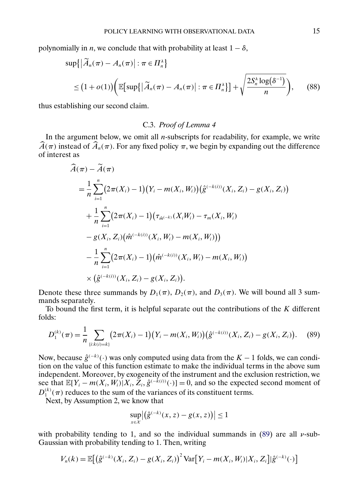polynomially in *n*, we conclude that with probability at least  $1 - \delta$ ,

$$
\sup\{|\widetilde{A}_n(\pi) - A_n(\pi)| : \pi \in \Pi_n^{\lambda}\}\
$$
  

$$
\leq (1 + o(1))\bigg(\mathbb{E}\big[\sup\{|\widetilde{A}_n(\pi) - A_n(\pi)| : \pi \in \Pi_n^{\lambda}\}\big] + \sqrt{\frac{2S_n^{\lambda}\log(\delta^{-1})}{n}}\bigg), \qquad (88)
$$

thus establishing our second claim.

## C.3. *Proof of Lemma 4*

In the argument below, we omit all  $n$ -subscripts for readability, for example, we write  $\widehat{A}(\pi)$  instead of  $\widehat{A}_n(\pi)$ . For any fixed policy  $\pi$ , we begin by expanding out the difference of interest as

$$
A(\pi) - A(\pi)
$$
  
=  $\frac{1}{n} \sum_{i=1}^{n} (2\pi(X_i) - 1)(Y_i - m(X_i, W_i))(\hat{g}^{(-k(i))}(X_i, Z_i) - g(X_i, Z_i))$   
+  $\frac{1}{n} \sum_{i=1}^{n} (2\pi(X_i) - 1)(\tau_{\hat{m}}^{(-k)}(X_iW_i) - \tau_m(X_i, W_i))$   
-  $g(X_i, Z_i)(\hat{m}^{(-k(i))}(X_i, W_i) - m(X_i, W_i)))$   
-  $\frac{1}{n} \sum_{i=1}^{n} (2\pi(X_i) - 1)(\hat{m}^{(-k(i))}(X_i, W_i) - m(X_i, W_i))$   
×  $(\hat{g}^{(-k(i))}(X_i, Z_i) - g(X_i, Z_i)).$ 

Denote these three summands by  $D_1(\pi)$ ,  $D_2(\pi)$ , and  $D_3(\pi)$ . We will bound all 3 summands separately.

To bound the first term, it is helpful separate out the contributions of the  $K$  different folds:

$$
D_1^{(k)}(\pi) = \frac{1}{n} \sum_{\{i:k(i)=k\}} (2\pi(X_i) - 1)(Y_i - m(X_i, W_i))(\hat{g}^{(-k(i))}(X_i, Z_i) - g(X_i, Z_i)).
$$
 (89)

Now, because  $\hat{g}^{(-k)}(\cdot)$  was only computed using data from the  $K - 1$  folds, we can condition on the value of this function estimate to make the individual terms in the above sum independent. Moreover, by exogeneity of the instrument and the exclusion restriction, we see that  $\mathbb{E}[Y_i - m(X_i, W_i)|X_i, \tilde{Z}_i, \hat{g}^{(-\tilde{k}(i))}(\cdot)] = 0$ , and so the expected second moment of  $D_1^{(k)}(\pi)$  reduces to the sum of the variances of its constituent terms.

Next, by Assumption 2, we know that

$$
\sup_{x \in \mathcal{X}} \left| \left( \hat{g}^{(-k)}(x, z) - g(x, z) \right) \right| \le 1
$$

with probability tending to 1, and so the individual summands in (89) are all  $\nu$ -sub-Gaussian with probability tending to 1. Then, writing

$$
V_n(k) = \mathbb{E}\big[\big(\hat{g}^{(-k)}(X_i, Z_i) - g(X_i, Z_i)\big)^2 \text{Var}\big[Y_i - m(X_i, W_i)|X_i, Z_i\big] | \hat{g}^{(-k)}(\cdot)\big]
$$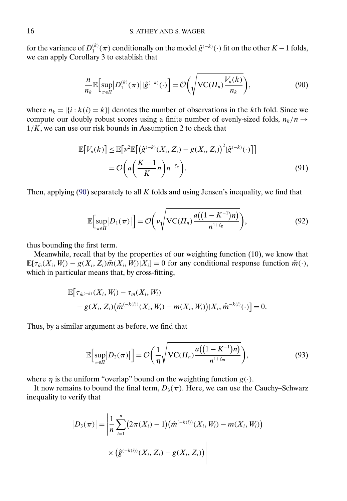for the variance of  $D_1^{(k)}(\pi)$  conditionally on the model  $\hat{g}^{(-k)}(\cdot)$  fit on the other  $K-1$  folds, we can apply Corollary 3 to establish that

$$
\frac{n}{n_k} \mathbb{E} \Big[ \sup_{\pi \in \Pi} \big| D_1^{(k)}(\pi) \big| |\hat{g}^{(-k)}(\cdot) \Big| = \mathcal{O} \bigg( \sqrt{\mathrm{VC}(H_n) \frac{V_n(k)}{n_k}} \bigg), \tag{90}
$$

where  $n_k = |\{i : k(i) = k\}|$  denotes the number of observations in the kth fold. Since we compute our doubly robust scores using a finite number of evenly-sized folds,  $n_k/n \rightarrow$  $1/K$ , we can use our risk bounds in Assumption 2 to check that

$$
\mathbb{E}[V_n(k)] \le \mathbb{E}[\nu^2 \mathbb{E}[(\hat{g}^{(-k)}(X_i, Z_i) - g(X_i, Z_i))^2 | \hat{g}^{(-k)}(\cdot)]]
$$
  
=  $\mathcal{O}\left(a\left(\frac{K-1}{K}n\right)n^{-\zeta_g}\right).$  (91)

Then, applying  $(90)$  separately to all K folds and using Jensen's inequality, we find that

$$
\mathbb{E}\Big[\sup_{\pi\in\Pi}|D_1(\pi)|\Big] = \mathcal{O}\bigg(\nu\sqrt{\text{VC}(H_n)\frac{a\big((1-K^{-1})n\big)}{n^{1+\zeta_g}}}\bigg),\tag{92}
$$

thus bounding the first term.

Meanwhile, recall that by the properties of our weighting function (10), we know that  $\mathbb{E}[\tau_{\tilde{m}}(X_i, W_i) - g(X_i, Z_i)\tilde{m}(X_i, W_i)|X_i] = 0$  for any conditional response function  $\tilde{m}(\cdot)$ , which in particular means that, by cross-fitting,

$$
\mathbb{E}\big[\tau_{\hat{m}^{(-k)}}(X_i, W_i) - \tau_m(X_i, W_i) - g(X_i, Z_i)\big(\hat{m}^{(-k(i))}(X_i, W_i) - m(X_i, W_i)\big)|X_i, \hat{m}^{-k(i)}(\cdot)\big] = 0.
$$

Thus, by a similar argument as before, we find that

$$
\mathbb{E}\Big[\sup_{\pi\in\Pi}\big|D_2(\pi)\big|\Big] = \mathcal{O}\bigg(\frac{1}{\eta}\sqrt{\mathrm{VC}(H_n)\frac{a\big((1-K^{-1})n\big)}{n^{1+\zeta_m}}}\bigg),\tag{93}
$$

where  $\eta$  is the uniform "overlap" bound on the weighting function  $g(\cdot)$ .

It now remains to bound the final term,  $D_3(\pi)$ . Here, we can use the Cauchy–Schwarz inequality to verify that

$$
|D_3(\pi)| = \left| \frac{1}{n} \sum_{i=1}^n (2\pi(X_i) - 1) (\hat{m}^{(-k(i))}(X_i, W_i) - m(X_i, W_i)) \right|
$$
  
 
$$
\times (\hat{g}^{(-k(i))}(X_i, Z_i) - g(X_i, Z_i)) \right|
$$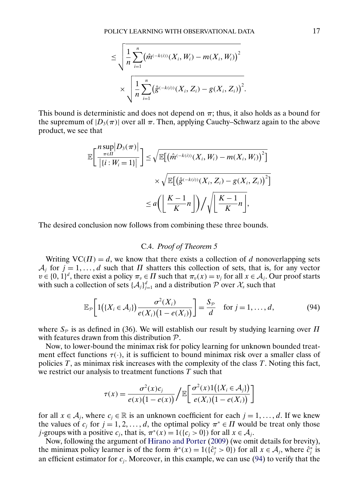$$
\leq \sqrt{\frac{1}{n} \sum_{i=1}^{n} (\hat{m}^{(-k(i))}(X_i, W_i) - m(X_i, W_i))^{2}}
$$

$$
\times \sqrt{\frac{1}{n} \sum_{i=1}^{n} (\hat{g}^{(-k(i))}(X_i, Z_i) - g(X_i, Z_i))^{2}}.
$$

<span id="page-16-0"></span>This bound is deterministic and does not depend on  $\pi$ ; thus, it also holds as a bound for the supremum of  $|D_3(\pi)|$  over all  $\pi$ . Then, applying Cauchy–Schwarz again to the above product, we see that

$$
\mathbb{E}\left[\frac{n\sup_{\pi\in\Pi}|D_3(\pi)|}{|\{i:W_i=1\}|}\right] \leq \sqrt{\mathbb{E}\left[\left(\hat{m}^{(-k(i))}(X_i,W_i) - m(X_i,W_i)\right)^2\right]} \times \sqrt{\mathbb{E}\left[\left(\hat{g}^{(-k(i))}(X_i,Z_i) - g(X_i,Z_i)\right)^2\right]}
$$

$$
\leq a\left(\left\lfloor\frac{K-1}{K}n\right\rfloor\right) / \sqrt{\left\lfloor\frac{K-1}{K}n\right\rfloor},
$$

The desired conclusion now follows from combining these three bounds.

## C.4. *Proof of Theorem 5*

Writing  $VC(\Pi) = d$ , we know that there exists a collection of d nonoverlapping sets  $A_j$  for  $j = 1, ..., d$  such that  $\Pi$  shatters this collection of sets, that is, for any vector  $v \in \{0, 1\}^d$ , there exist a policy  $\pi_v \in \Pi$  such that  $\pi_v(x) = v_j$  for all  $x \in A_j$ . Our proof starts with such a collection of sets  $\{\mathcal{A}_j\}_{j=1}^d$  and a distribution  $\mathcal{P}$  over  $\mathcal{X}_s$  such that

$$
\mathbb{E}_{\mathcal{P}}\bigg[1\big(\{X_i\in\mathcal{A}_j\}\big)\frac{\sigma^2(X_i)}{e(X_i)\big(1-e(X_i)\big)}\bigg]=\frac{S_{\mathcal{P}}}{d}\quad\text{for }j=1,\ldots,d,
$$
\n(94)

where  $S_p$  is as defined in (36). We will establish our result by studying learning over  $\Pi$ with features drawn from this distribution P.

Now, to lower-bound the minimax risk for policy learning for unknown bounded treatment effect functions  $\tau(\cdot)$ , it is sufficient to bound minimax risk over a smaller class of policies  $T$ , as minimax risk increases with the complexity of the class  $T$ . Noting this fact, we restrict our analysis to treatment functions  $T$  such that

$$
\tau(x) = \frac{\sigma^2(x)c_j}{e(x)(1-e(x))} / \mathbb{E}\left[\frac{\sigma^2(x)1(\lbrace X_i \in \mathcal{A}_j \rbrace)}{e(X_i)(1-e(X_i))}\right]
$$

for all  $x \in A_j$ , where  $c_j \in \mathbb{R}$  is an unknown coefficient for each  $j = 1, ..., d$ . If we knew the values of  $c_j$  for  $j = 1, 2, ..., d$ , the optimal policy  $\pi^* \in \Pi$  would be treat only those *j*-groups with a positive  $c_i$ , that is,  $\pi^*(x) = 1({c_i > 0})$  for all  $x \in A_i$ .

Now, following the argument of [Hirano and Porter](#page-17-0) [\(2009\)](#page-17-0) (we omit details for brevity), the minimax policy learner is of the form  $\hat{\pi}^*(x) = 1(\{\hat{c}_j^* > 0\})$  for all  $x \in A_j$ , where  $\hat{c}_j^*$  is an efficient estimator for  $c_j$ . Moreover, in this example, we can use (94) to verify that the